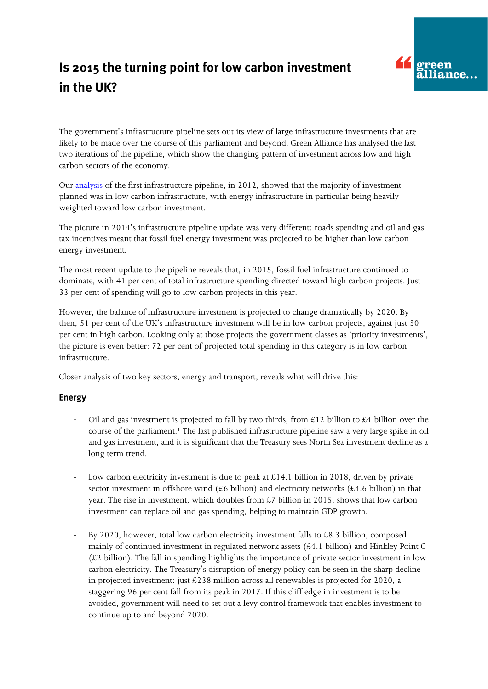## Is 2015 the turning point for low carbon investment in the UK?



The government's infrastructure pipeline sets out its view of large infrastructure investments that are likely to be made over the course of this parliament and beyond. Green Alliance has analysed the last two iterations of the pipeline, which show the changing pattern of investment across low and high carbon sectors of the economy.

Our [analysis](http://www.green-alliance.org.uk/resources/Infrastructure%20investment.pdf) of the first infrastructure pipeline, in 2012, showed that the majority of investment planned was in low carbon infrastructure, with energy infrastructure in particular being heavily weighted toward low carbon investment.

The picture in 2014's infrastructure pipeline update was very different: roads spending and oil and gas tax incentives meant that fossil fuel energy investment was projected to be higher than low carbon energy investment.

The most recent update to the pipeline reveals that, in 2015, fossil fuel infrastructure continued to dominate, with 41 per cent of total infrastructure spending directed toward high carbon projects. Just 33 per cent of spending will go to low carbon projects in this year.

However, the balance of infrastructure investment is projected to change dramatically by 2020. By then, 51 per cent of the UK's infrastructure investment will be in low carbon projects, against just 30 per cent in high carbon. Looking only at those projects the government classes as 'priority investments', the picture is even better: 72 per cent of projected total spending in this category is in low carbon infrastructure.

Closer analysis of two key sectors, energy and transport, reveals what will drive this:

## **Energy**

- Oil and gas investment is projected to fall by two thirds, from £12 billion to £4 billion over the course of the parliament.<sup>1</sup> The last published infrastructure pipeline saw a very large spike in oil and gas investment, and it is significant that the Treasury sees North Sea investment decline as a long term trend.
- Low carbon electricity investment is due to peak at £14.1 billion in 2018, driven by private sector investment in offshore wind (£6 billion) and electricity networks (£4.6 billion) in that year. The rise in investment, which doubles from  $\mathcal{L}7$  billion in 2015, shows that low carbon investment can replace oil and gas spending, helping to maintain GDP growth.
- By 2020, however, total low carbon electricity investment falls to  $£8.3$  billion, composed mainly of continued investment in regulated network assets (£4.1 billion) and Hinkley Point C  $(E2)$  billion). The fall in spending highlights the importance of private sector investment in low carbon electricity. The Treasury's disruption of energy policy can be seen in the sharp decline in projected investment: just £238 million across all renewables is projected for 2020, a staggering 96 per cent fall from its peak in 2017. If this cliff edge in investment is to be avoided, government will need to set out a levy control framework that enables investment to continue up to and beyond 2020.